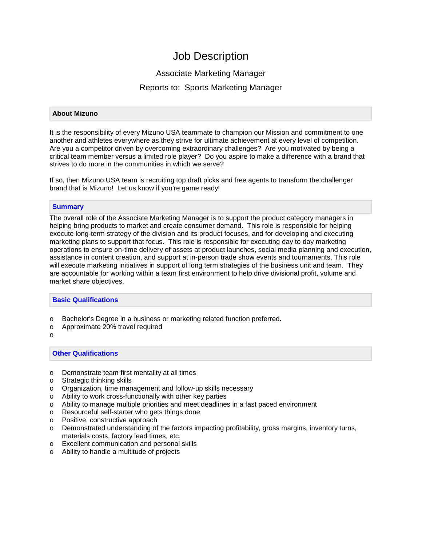# Job Description

# Associate Marketing Manager

# Reports to: Sports Marketing Manager

## **About Mizuno**

It is the responsibility of every Mizuno USA teammate to champion our Mission and commitment to one another and athletes everywhere as they strive for ultimate achievement at every level of competition. Are you a competitor driven by overcoming extraordinary challenges? Are you motivated by being a critical team member versus a limited role player? Do you aspire to make a difference with a brand that strives to do more in the communities in which we serve?

If so, then Mizuno USA team is recruiting top draft picks and free agents to transform the challenger brand that is Mizuno! Let us know if you're game ready!

## **Summary**

The overall role of the Associate Marketing Manager is to support the product category managers in helping bring products to market and create consumer demand. This role is responsible for helping execute long-term strategy of the division and its product focuses, and for developing and executing marketing plans to support that focus. This role is responsible for executing day to day marketing operations to ensure on-time delivery of assets at product launches, social media planning and execution, assistance in content creation, and support at in-person trade show events and tournaments. This role will execute marketing initiatives in support of long term strategies of the business unit and team. They are accountable for working within a team first environment to help drive divisional profit, volume and market share objectives.

### **Basic Qualifications**

- o Bachelor's Degree in a business or marketing related function preferred.
- o Approximate 20% travel required

o

### **Other Qualifications**

- o Demonstrate team first mentality at all times
- o Strategic thinking skills
- $\circ$  Organization, time management and follow-up skills necessary<br>  $\circ$  Ability to work cross-functionally with other key parties
- $\circ$  Ability to work cross-functionally with other key parties  $\circ$  Ability to manage multiple priorities and meet deadlines
- Ability to manage multiple priorities and meet deadlines in a fast paced environment
- o Resourceful self-starter who gets things done<br>
o Positive, constructive approach
- Positive, constructive approach
- o Demonstrated understanding of the factors impacting profitability, gross margins, inventory turns, materials costs, factory lead times, etc.
- o Excellent communication and personal skills
- o Ability to handle a multitude of projects